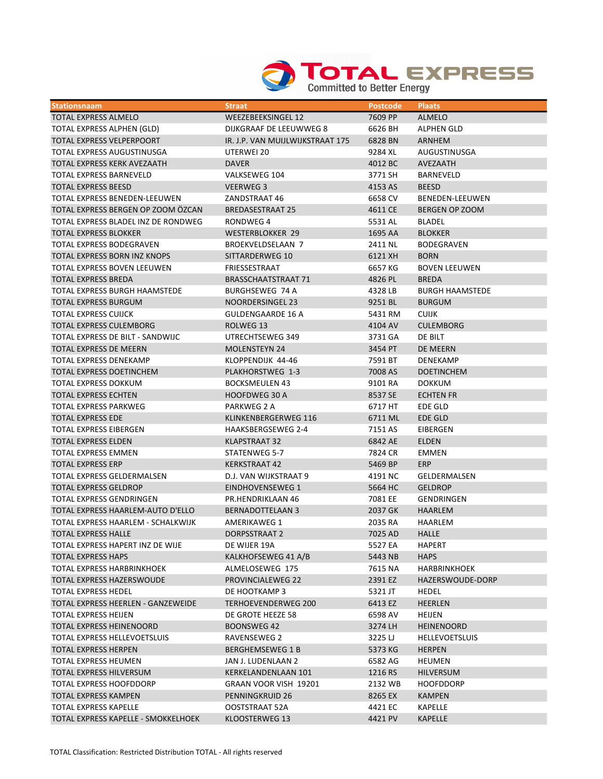

| <b>Stationsnaam</b>                  | <b>Straat</b>                    | <b>Postcode</b> | <b>Plaats</b>          |
|--------------------------------------|----------------------------------|-----------------|------------------------|
| TOTAL EXPRESS ALMELO                 | WEEZEBEEKSINGEL 12               | 7609 PP         | <b>ALMELO</b>          |
| TOTAL EXPRESS ALPHEN (GLD)           | DIJKGRAAF DE LEEUWWEG 8          | 6626 BH         | ALPHEN GLD             |
| TOTAL EXPRESS VELPERPOORT            | IR. J.P. VAN MUIJLWIJKSTRAAT 175 | 6828 BN         | ARNHEM                 |
| TOTAL EXPRESS AUGUSTINUSGA           | UTERWEI 20                       | 9284 XL         | AUGUSTINUSGA           |
| TOTAL EXPRESS KERK AVEZAATH          | <b>DAVER</b>                     | 4012 BC         | <b>AVEZAATH</b>        |
| <b>TOTAL EXPRESS BARNEVELD</b>       | VALKSEWEG 104                    | 3771 SH         | BARNEVELD              |
| <b>TOTAL EXPRESS BEESD</b>           | <b>VEERWEG 3</b>                 | 4153 AS         | <b>BEESD</b>           |
| TOTAL EXPRESS BENEDEN-LEEUWEN        | ZANDSTRAAT 46                    | 6658 CV         | <b>BENEDEN-LEEUWEN</b> |
| TOTAL EXPRESS BERGEN OP ZOOM ÖZCAN   | <b>BREDASESTRAAT 25</b>          | 4611 CE         | <b>BERGEN OP ZOOM</b>  |
| TOTAL EXPRESS BLADEL INZ DE RONDWEG  | RONDWEG 4                        | 5531 AL         | BLADEL                 |
| <b>TOTAL EXPRESS BLOKKER</b>         | <b>WESTERBLOKKER 29</b>          | 1695 AA         | <b>BLOKKER</b>         |
| <b>TOTAL EXPRESS BODEGRAVEN</b>      | <b>BROEKVELDSELAAN 7</b>         | 2411 NL         | <b>BODEGRAVEN</b>      |
| TOTAL EXPRESS BORN INZ KNOPS         | SITTARDERWEG 10                  | 6121 XH         | <b>BORN</b>            |
| TOTAL EXPRESS BOVEN LEEUWEN          | FRIESSESTRAAT                    | 6657 KG         | <b>BOVEN LEEUWEN</b>   |
| <b>TOTAL EXPRESS BREDA</b>           | <b>BRASSCHAATSTRAAT 71</b>       | 4826 PL         | <b>BREDA</b>           |
| <b>TOTAL EXPRESS BURGH HAAMSTEDE</b> | <b>BURGHSEWEG 74 A</b>           | 4328 LB         | <b>BURGH HAAMSTEDE</b> |
| <b>TOTAL EXPRESS BURGUM</b>          | NOORDERSINGEL 23                 | 9251 BL         | <b>BURGUM</b>          |
| <b>TOTAL EXPRESS CUIJCK</b>          | <b>GULDENGAARDE 16 A</b>         | 5431 RM         | <b>CUIJK</b>           |
| <b>TOTAL EXPRESS CULEMBORG</b>       | ROLWEG 13                        | 4104 AV         | <b>CULEMBORG</b>       |
| TOTAL EXPRESS DE BILT - SANDWIJC     | UTRECHTSEWEG 349                 | 3731 GA         | DE BILT                |
| <b>TOTAL EXPRESS DE MEERN</b>        | <b>MOLENSTEYN 24</b>             | 3454 PT         | DE MEERN               |
| <b>TOTAL EXPRESS DENEKAMP</b>        | KLOPPENDIJK 44-46                | 7591 BT         | DENEKAMP               |
| TOTAL EXPRESS DOETINCHEM             | PLAKHORSTWEG 1-3                 | 7008 AS         | <b>DOETINCHEM</b>      |
| TOTAL EXPRESS DOKKUM                 | <b>BOCKSMEULEN 43</b>            | 9101 RA         | <b>DOKKUM</b>          |
| <b>TOTAL EXPRESS ECHTEN</b>          | <b>HOOFDWEG 30 A</b>             | 8537 SE         | <b>ECHTEN FR</b>       |
| TOTAL EXPRESS PARKWEG                | PARKWEG 2 A                      | 6717 HT         | EDE GLD                |
| <b>TOTAL EXPRESS EDE</b>             | KLINKENBERGERWEG 116             | 6711 ML         | EDE GLD                |
| TOTAL EXPRESS EIBERGEN               | <b>HAAKSBERGSEWEG 2-4</b>        | 7151 AS         | EIBERGEN               |
| TOTAL EXPRESS ELDEN                  | KLAPSTRAAT 32                    | 6842 AE         | <b>ELDEN</b>           |
| <b>TOTAL EXPRESS EMMEN</b>           | STATENWEG 5-7                    | 7824 CR         | <b>EMMEN</b>           |
| <b>TOTAL EXPRESS ERP</b>             | <b>KERKSTRAAT 42</b>             | 5469 BP         | ERP                    |
| TOTAL EXPRESS GELDERMALSEN           | D.J. VAN WIJKSTRAAT 9            | 4191 NC         | <b>GELDERMALSEN</b>    |
| <b>TOTAL EXPRESS GELDROP</b>         | EINDHOVENSEWEG 1                 | 5664 HC         | <b>GELDROP</b>         |
| TOTAL EXPRESS GENDRINGEN             | PR.HENDRIKLAAN 46                | 7081 EE         | GENDRINGEN             |
| TOTAL EXPRESS HAARLEM-AUTO D'ELLO    | <b>BERNADOTTELAAN 3</b>          | 2037 GK         | <b>HAARLEM</b>         |
| TOTAL EXPRESS HAARLEM - SCHALKWIJK   | <b>AMERIKAWEG 1</b>              | 2035 RA         | HAARLEM                |
| <b>TOTAL EXPRESS HALLE</b>           | <b>DORPSSTRAAT 2</b>             | 7025 AD         | HALLE                  |
| TOTAL EXPRESS HAPERT INZ DE WIJE     | DE WIJER 19A                     | 5527 EA         | <b>HAPERT</b>          |
| <b>TOTAL EXPRESS HAPS</b>            | KALKHOFSEWEG 41 A/B              | 5443 NB         | <b>HAPS</b>            |
| TOTAL EXPRESS HARBRINKHOEK           | ALMELOSEWEG 175                  | 7615 NA         | <b>HARBRINKHOEK</b>    |
| TOTAL EXPRESS HAZERSWOUDE            | <b>PROVINCIALEWEG 22</b>         | 2391 EZ         | HAZERSWOUDE-DORP       |
| <b>TOTAL EXPRESS HEDEL</b>           | DE HOOTKAMP 3                    | 5321 JT         | <b>HEDEL</b>           |
| TOTAL EXPRESS HEERLEN - GANZEWEIDE   | <b>TERHOEVENDERWEG 200</b>       | 6413 EZ         | <b>HEERLEN</b>         |
| <b>TOTAL EXPRESS HEIJEN</b>          | DE GROTE HEEZE 58                | 6598 AV         | <b>HEIJEN</b>          |
| <b>TOTAL EXPRESS HEINENOORD</b>      | BOONSWEG 42                      | 3274 LH         | <b>HEINENOORD</b>      |
| TOTAL EXPRESS HELLEVOETSLUIS         | RAVENSEWEG 2                     | 3225 LJ         | <b>HELLEVOETSLUIS</b>  |
| <b>TOTAL EXPRESS HERPEN</b>          | <b>BERGHEMSEWEG 1 B</b>          | 5373 KG         | <b>HERPEN</b>          |
| <b>TOTAL EXPRESS HEUMEN</b>          | JAN J. LUDENLAAN 2               | 6582 AG         | <b>HEUMEN</b>          |
| TOTAL EXPRESS HILVERSUM              | KERKELANDENLAAN 101              | 1216 RS         | <b>HILVERSUM</b>       |
| TOTAL EXPRESS HOOFDDORP              | GRAAN VOOR VISH 19201            | 2132 WB         | <b>HOOFDDORP</b>       |
| <b>TOTAL EXPRESS KAMPEN</b>          | PENNINGKRUID 26                  | 8265 EX         | <b>KAMPEN</b>          |
| TOTAL EXPRESS KAPELLE                | OOSTSTRAAT 52A                   | 4421 EC         | KAPELLE                |
| TOTAL EXPRESS KAPELLE - SMOKKELHOEK  | KLOOSTERWEG 13                   | 4421 PV         | <b>KAPELLE</b>         |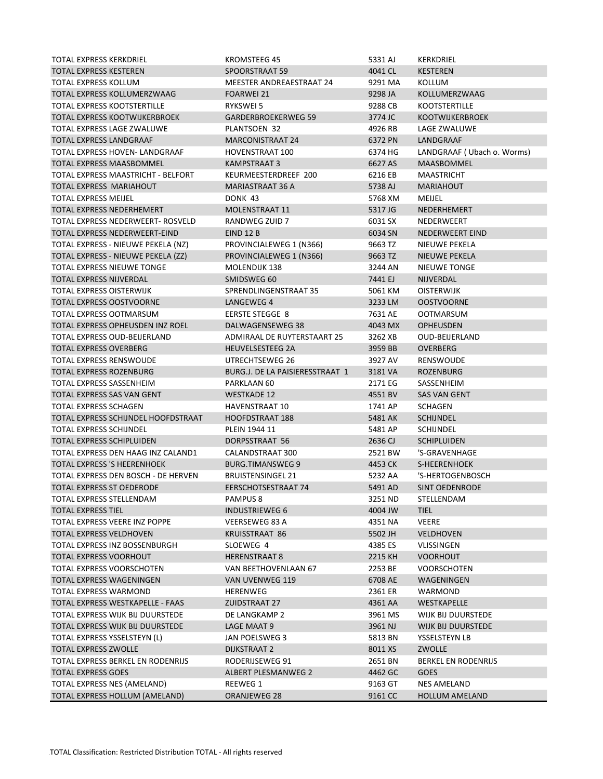| TOTAL EXPRESS KERKDRIEL             | KROMSTEEG 45                    | 5331 AJ | <b>KERKDRIEL</b>           |
|-------------------------------------|---------------------------------|---------|----------------------------|
| TOTAL EXPRESS KESTEREN              | SPOORSTRAAT 59                  | 4041 CL | <b>KESTEREN</b>            |
| TOTAL EXPRESS KOLLUM                | MEESTER ANDREAESTRAAT 24        | 9291 MA | KOLLUM                     |
| TOTAL EXPRESS KOLLUMERZWAAG         | <b>FOARWEI 21</b>               | 9298 JA | KOLLUMERZWAAG              |
| TOTAL EXPRESS KOOTSTERTILLE         | <b>RYKSWEI 5</b>                | 9288 CB | <b>KOOTSTERTILLE</b>       |
| TOTAL EXPRESS KOOTWIJKERBROEK       | <b>GARDERBROEKERWEG 59</b>      | 3774 JC | <b>KOOTWIJKERBROEK</b>     |
| TOTAL EXPRESS LAGE ZWALUWE          | PLANTSOEN 32                    | 4926 RB | LAGE ZWALUWE               |
| TOTAL EXPRESS LANDGRAAF             | <b>MARCONISTRAAT 24</b>         | 6372 PN | LANDGRAAF                  |
| TOTAL EXPRESS HOVEN- LANDGRAAF      | HOVENSTRAAT 100                 | 6374 HG | LANDGRAAF (Ubach o. Worms) |
| TOTAL EXPRESS MAASBOMMEL            | <b>KAMPSTRAAT 3</b>             | 6627 AS | MAASBOMMEL                 |
| TOTAL EXPRESS MAASTRICHT - BELFORT  | KEURMEESTERDREEF 200            | 6216 EB | <b>MAASTRICHT</b>          |
| TOTAL EXPRESS MARIAHOUT             | MARIASTRAAT 36 A                | 5738 AJ | <b>MARIAHOUT</b>           |
| TOTAL EXPRESS MEIJEL                | DONK 43                         | 5768 XM | MEIJEL                     |
| TOTAL EXPRESS NEDERHEMERT           | MOLENSTRAAT 11                  | 5317 JG | NEDERHEMERT                |
| TOTAL EXPRESS NEDERWEERT- ROSVELD   | <b>RANDWEG ZUID 7</b>           | 6031 SX | NEDERWEERT                 |
| TOTAL EXPRESS NEDERWEERT-EIND       | EIND 12 B                       | 6034 SN | NEDERWEERT EIND            |
| TOTAL EXPRESS - NIEUWE PEKELA (NZ)  | PROVINCIALEWEG 1 (N366)         | 9663 TZ | NIEUWE PEKELA              |
| TOTAL EXPRESS - NIEUWE PEKELA (ZZ)  | PROVINCIALEWEG 1 (N366)         | 9663 TZ | NIEUWE PEKELA              |
| TOTAL EXPRESS NIEUWE TONGE          | MOLENDIJK 138                   | 3244 AN | <b>NIEUWE TONGE</b>        |
| TOTAL EXPRESS NIJVERDAL             | SMIDSWEG 60                     | 7441 EJ | NIJVERDAL                  |
| TOTAL EXPRESS OISTERWIJK            | SPRENDLINGENSTRAAT 35           | 5061 KM | <b>OISTERWIJK</b>          |
| TOTAL EXPRESS OOSTVOORNE            | LANGEWEG 4                      | 3233 LM | <b>OOSTVOORNE</b>          |
| TOTAL EXPRESS OOTMARSUM             | <b>EERSTE STEGGE 8</b>          | 7631 AE | <b>OOTMARSUM</b>           |
| TOTAL EXPRESS OPHEUSDEN INZ ROEL    | DALWAGENSEWEG 38                | 4043 MX | <b>OPHEUSDEN</b>           |
| TOTAL EXPRESS OUD-BEIJERLAND        | ADMIRAAL DE RUYTERSTAART 25     | 3262 XB | <b>OUD-BEIJERLAND</b>      |
| <b>TOTAL EXPRESS OVERBERG</b>       | <b>HEUVELSESTEEG 2A</b>         | 3959 BB | <b>OVERBERG</b>            |
| TOTAL EXPRESS RENSWOUDE             | UTRECHTSEWEG 26                 | 3927 AV | RENSWOUDE                  |
| <b>TOTAL EXPRESS ROZENBURG</b>      | BURG.J. DE LA PAISIERESSTRAAT 1 | 3181 VA | <b>ROZENBURG</b>           |
| TOTAL EXPRESS SASSENHEIM            | PARKLAAN 60                     | 2171 EG | SASSENHEIM                 |
| TOTAL EXPRESS SAS VAN GENT          | <b>WESTKADE 12</b>              | 4551 BV | SAS VAN GENT               |
| TOTAL EXPRESS SCHAGEN               | <b>HAVENSTRAAT 10</b>           |         | <b>SCHAGEN</b>             |
|                                     |                                 | 1741 AP |                            |
| TOTAL EXPRESS SCHIJNDEL HOOFDSTRAAT | <b>HOOFDSTRAAT 188</b>          | 5481 AK | <b>SCHIJNDEL</b>           |
| TOTAL EXPRESS SCHIJNDEL             | PLEIN 1944 11                   | 5481 AP | <b>SCHIJNDEL</b>           |
| TOTAL EXPRESS SCHIPLUIDEN           | DORPSSTRAAT 56                  | 2636 CJ | <b>SCHIPLUIDEN</b>         |
| TOTAL EXPRESS DEN HAAG INZ CALAND1  | CALANDSTRAAT 300                | 2521 BW | 'S-GRAVENHAGE              |
| TOTAL EXPRESS 'S HEERENHOEK         | <b>BURG.TIMANSWEG 9</b>         | 4453 CK | S-HEERENHOEK               |
| TOTAL EXPRESS DEN BOSCH - DE HERVEN | <b>BRUISTENSINGEL 21</b>        | 5232 AA | 'S-HERTOGENBOSCH           |
| TOTAL EXPRESS ST OEDERODE           | EERSCHOTSESTRAAT 74             | 5491 AD | <b>SINT OEDENRODE</b>      |
| TOTAL EXPRESS STELLENDAM            | PAMPUS <sub>8</sub>             | 3251 ND | STELLENDAM                 |
| <b>TOTAL EXPRESS TIEL</b>           | <b>INDUSTRIEWEG 6</b>           | 4004 JW | <b>TIEL</b>                |
| TOTAL EXPRESS VEERE INZ POPPE       | VEERSEWEG 83 A                  | 4351 NA | VEERE                      |
| <b>TOTAL EXPRESS VELDHOVEN</b>      | <b>KRUISSTRAAT 86</b>           | 5502 JH | <b>VELDHOVEN</b>           |
| TOTAL EXPRESS INZ BOSSENBURGH       | SLOEWEG 4                       | 4385 ES | VLISSINGEN                 |
| TOTAL EXPRESS VOORHOUT              | <b>HERENSTRAAT 8</b>            | 2215 KH | <b>VOORHOUT</b>            |
| TOTAL EXPRESS VOORSCHOTEN           | VAN BEETHOVENLAAN 67            | 2253 BE | <b>VOORSCHOTEN</b>         |
| TOTAL EXPRESS WAGENINGEN            | VAN UVENWEG 119                 | 6708 AE | WAGENINGEN                 |
| TOTAL EXPRESS WARMOND               | HERENWEG                        | 2361 ER | WARMOND                    |
| TOTAL EXPRESS WESTKAPELLE - FAAS    | <b>ZUIDSTRAAT 27</b>            | 4361 AA | WESTKAPELLE                |
| TOTAL EXPRESS WIJK BIJ DUURSTEDE    | DE LANGKAMP 2                   | 3961 MS | WIJK BIJ DUURSTEDE         |
| TOTAL EXPRESS WIJK BIJ DUURSTEDE    | LAGE MAAT 9                     | 3961 NJ | WIJK BIJ DUURSTEDE         |
| TOTAL EXPRESS YSSELSTEYN (L)        | JAN POELSWEG 3                  | 5813 BN | YSSELSTEYN LB              |
| TOTAL EXPRESS ZWOLLE                | DIJKSTRAAT 2                    | 8011 XS | ZWOLLE                     |
| TOTAL EXPRESS BERKEL EN RODENRIJS   | RODERIJSEWEG 91                 | 2651 BN | <b>BERKEL EN RODENRIJS</b> |
| <b>TOTAL EXPRESS GOES</b>           | ALBERT PLESMANWEG 2             | 4462 GC | <b>GOES</b>                |
| TOTAL EXPRESS NES (AMELAND)         | REEWEG 1                        | 9163 GT | NES AMELAND                |
| TOTAL EXPRESS HOLLUM (AMELAND)      | ORANJEWEG 28                    | 9161 CC | <b>HOLLUM AMELAND</b>      |